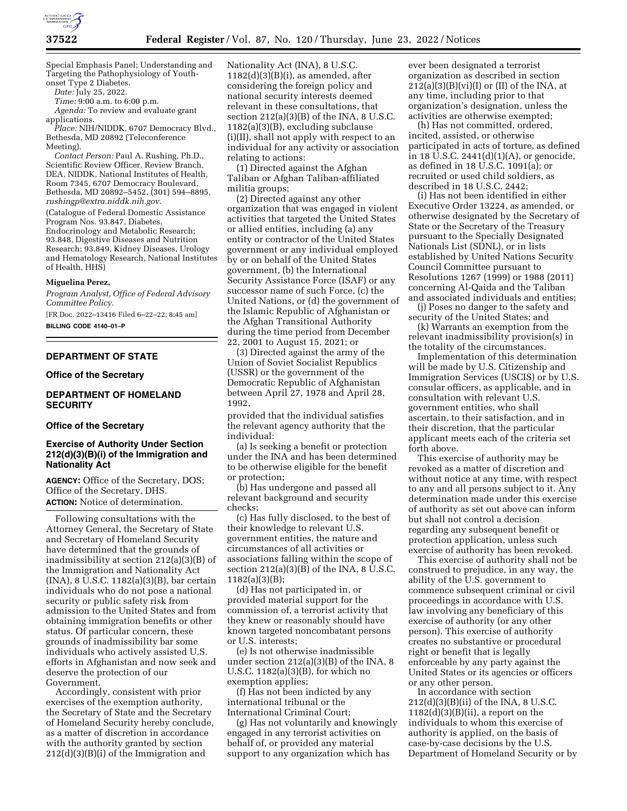

Special Emphasis Panel; Understanding and Targeting the Pathophysiology of Youthonset Type 2 Diabetes.

*Date:* July 25, 2022.

*Time:* 9:00 a.m. to 6:00 p.m.

*Agenda:* To review and evaluate grant applications.

*Place:* NIH/NIDDK, 6707 Democracy Blvd., Bethesda, MD 20892 (Teleconference Meeting).

*Contact Person:* Paul A. Rushing, Ph.D., Scientific Review Officer, Review Branch, DEA, NIDDK, National Institutes of Health, Room 7345, 6707 Democracy Boulevard, Bethesda, MD 20892–5452, (301) 594–8895, *[rushingp@extra.niddk.nih.gov.](mailto:rushingp@extra.niddk.nih.gov)* 

(Catalogue of Federal Domestic Assistance Program Nos. 93.847, Diabetes, Endocrinology and Metabolic Research; 93.848, Digestive Diseases and Nutrition Research; 93.849, Kidney Diseases, Urology and Hematology Research, National Institutes of Health, HHS)

#### **Miguelina Perez,**

*Program Analyst, Office of Federal Advisory Committee Policy.* 

[FR Doc. 2022–13416 Filed 6–22–22; 8:45 am] **BILLING CODE 4140–01–P** 

### **DEPARTMENT OF STATE**

### **Office of the Secretary**

## **DEPARTMENT OF HOMELAND SECURITY**

### **Office of the Secretary**

## **Exercise of Authority Under Section 212(d)(3)(B)(i) of the Immigration and Nationality Act**

**AGENCY:** Office of the Secretary, DOS; Office of the Secretary, DHS. **ACTION:** Notice of determination.

Following consultations with the Attorney General, the Secretary of State and Secretary of Homeland Security have determined that the grounds of inadmissibility at section 212(a)(3)(B) of the Immigration and Nationality Act (INA), 8 U.S.C. 1182(a)(3)(B), bar certain individuals who do not pose a national security or public safety risk from admission to the United States and from obtaining immigration benefits or other status. Of particular concern, these grounds of inadmissibility bar some individuals who actively assisted U.S. efforts in Afghanistan and now seek and deserve the protection of our Government.

Accordingly, consistent with prior exercises of the exemption authority, the Secretary of State and the Secretary of Homeland Security hereby conclude, as a matter of discretion in accordance with the authority granted by section 212(d)(3)(B)(i) of the Immigration and

Nationality Act (INA), 8 U.S.C.  $1182(d)(3)(B)(i)$ , as amended, after considering the foreign policy and national security interests deemed relevant in these consultations, that section  $212(a)(3)(B)$  of the INA, 8 U.S.C. 1182(a)(3)(B), excluding subclause (i)(II), shall not apply with respect to an individual for any activity or association relating to actions:

(1) Directed against the Afghan Taliban or Afghan Taliban-affiliated militia groups;

(2) Directed against any other organization that was engaged in violent activities that targeted the United States or allied entities, including (a) any entity or contractor of the United States government or any individual employed by or on behalf of the United States government, (b) the International Security Assistance Force (ISAF) or any successor name of such Force, (c) the United Nations, or (d) the government of the Islamic Republic of Afghanistan or the Afghan Transitional Authority during the time period from December 22, 2001 to August 15, 2021; or

(3) Directed against the army of the Union of Soviet Socialist Republics (USSR) or the government of the Democratic Republic of Afghanistan between April 27, 1978 and April 28, 1992,

provided that the individual satisfies the relevant agency authority that the individual:

(a) Is seeking a benefit or protection under the INA and has been determined to be otherwise eligible for the benefit or protection;

(b) Has undergone and passed all relevant background and security checks;

(c) Has fully disclosed, to the best of their knowledge to relevant U.S. government entities, the nature and circumstances of all activities or associations falling within the scope of section 212(a)(3)(B) of the INA, 8 U.S.C. 1182(a)(3)(B);

(d) Has not participated in, or provided material support for the commission of, a terrorist activity that they knew or reasonably should have known targeted noncombatant persons or U.S. interests;

(e) Is not otherwise inadmissible under section 212(a)(3)(B) of the INA, 8 U.S.C. 1182(a)(3)(B), for which no exemption applies;

(f) Has not been indicted by any international tribunal or the International Criminal Court;

(g) Has not voluntarily and knowingly engaged in any terrorist activities on behalf of, or provided any material support to any organization which has

ever been designated a terrorist organization as described in section  $212(a)(3)(B)(vi)(I)$  or (II) of the INA, at any time, including prior to that organization's designation, unless the activities are otherwise exempted;

(h) Has not committed, ordered, incited, assisted, or otherwise participated in acts of torture, as defined in 18 U.S.C. 2441(d)(1)(A), or genocide, as defined in 18 U.S.C. 1091(a); or recruited or used child soldiers, as described in 18 U.S.C. 2442;

(i) Has not been identified in either Executive Order 13224, as amended, or otherwise designated by the Secretary of State or the Secretary of the Treasury pursuant to the Specially Designated Nationals List (SDNL), or in lists established by United Nations Security Council Committee pursuant to Resolutions 1267 (1999) or 1988 (2011) concerning Al-Qaida and the Taliban and associated individuals and entities;

(j) Poses no danger to the safety and security of the United States; and

(k) Warrants an exemption from the relevant inadmissibility provision(s) in the totality of the circumstances.

Implementation of this determination will be made by U.S. Citizenship and Immigration Services (USCIS) or by U.S. consular officers, as applicable, and in consultation with relevant U.S. government entities, who shall ascertain, to their satisfaction, and in their discretion, that the particular applicant meets each of the criteria set forth above.

This exercise of authority may be revoked as a matter of discretion and without notice at any time, with respect to any and all persons subject to it. Any determination made under this exercise of authority as set out above can inform but shall not control a decision regarding any subsequent benefit or protection application, unless such exercise of authority has been revoked.

This exercise of authority shall not be construed to prejudice, in any way, the ability of the U.S. government to commence subsequent criminal or civil proceedings in accordance with U.S. law involving any beneficiary of this exercise of authority (or any other person). This exercise of authority creates no substantive or procedural right or benefit that is legally enforceable by any party against the United States or its agencies or officers or any other person.

In accordance with section 212(d)(3)(B)(ii) of the INA, 8 U.S.C.  $1182(d)(3)(B)(ii)$ , a report on the individuals to whom this exercise of authority is applied, on the basis of case-by-case decisions by the U.S. Department of Homeland Security or by